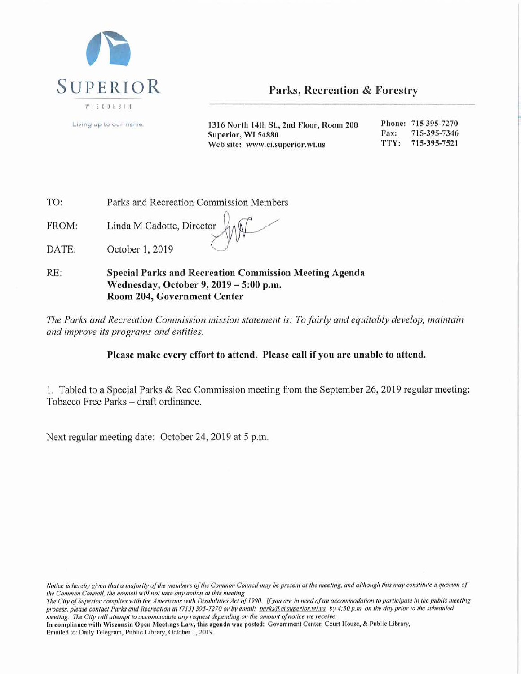

Parks, Recreation & Forestry

Living up to our name.

Phone: 715 395-7270 1316 North 14th St., 2nd Floor, Room 200 715-395-7346 Fax: Superior, WI 54880 TTY: 715-395-7521 Web site: www.ci.superior.wi.us

TO: Parks and Recreation Commission Members

Linda M Cadotte, Director FROM:

October 1, 2019 DATE:

RE: **Special Parks and Recreation Commission Meeting Agenda** Wednesday, October 9, 2019 - 5:00 p.m. Room 204, Government Center

The Parks and Recreation Commission mission statement is: To fairly and equitably develop, maintain and improve its programs and entities.

# Please make every effort to attend. Please call if you are unable to attend.

1. Tabled to a Special Parks & Rec Commission meeting from the September 26, 2019 regular meeting: Tobacco Free Parks - draft ordinance.

Next regular meeting date: October 24, 2019 at 5 p.m.

In compliance with Wisconsin Open Meetings Law, this agenda was posted: Government Center, Court House, & Public Library, Emailed to: Daily Telegram, Public Library, October 1, 2019.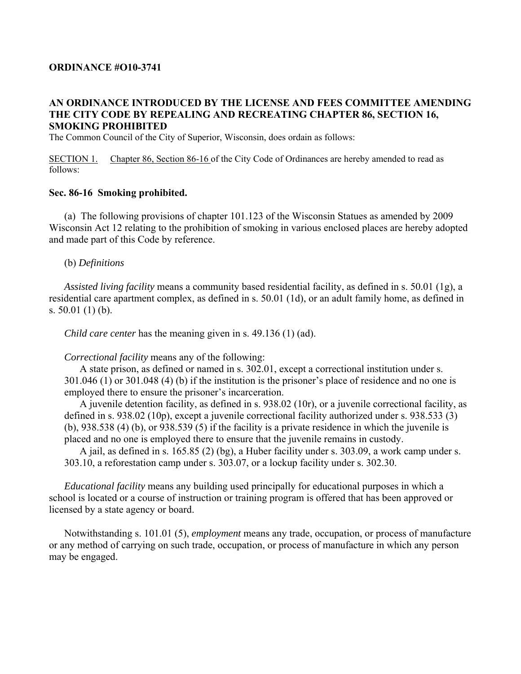### **ORDINANCE #O10-3741**

### **AN ORDINANCE INTRODUCED BY THE LICENSE AND FEES COMMITTEE AMENDING THE CITY CODE BY REPEALING AND RECREATING CHAPTER 86, SECTION 16, SMOKING PROHIBITED**

The Common Council of the City of Superior, Wisconsin, does ordain as follows:

SECTION 1. Chapter 86, Section 86-16 of the City Code of Ordinances are hereby amended to read as follows:

#### **Sec. 86-16 Smoking prohibited.**

 (a)The following provisions of chapter 101.123 of the Wisconsin Statues as amended by 2009 Wisconsin Act 12 relating to the prohibition of smoking in various enclosed places are hereby adopted and made part of this Code by reference.

#### (b) *Definitions*

*Assisted living facility* means a community based residential facility, as defined in s. 50.01 (1g), a residential care apartment complex, as defined in s. 50.01 (1d), or an adult family home, as defined in s. 50.01 (1) (b).

*Child care center* has the meaning given in s. 49.136 (1) (ad).

*Correctional facility* means any of the following:

 A state prison, as defined or named in s. 302.01, except a correctional institution under s. 301.046 (1) or 301.048 (4) (b) if the institution is the prisoner's place of residence and no one is employed there to ensure the prisoner's incarceration.

 A juvenile detention facility, as defined in s. 938.02 (10r), or a juvenile correctional facility, as defined in s. 938.02 (10p), except a juvenile correctional facility authorized under s. 938.533 (3) (b), 938.538 (4) (b), or 938.539 (5) if the facility is a private residence in which the juvenile is placed and no one is employed there to ensure that the juvenile remains in custody.

 A jail, as defined in s. 165.85 (2) (bg), a Huber facility under s. 303.09, a work camp under s. 303.10, a reforestation camp under s. 303.07, or a lockup facility under s. 302.30.

*Educational facility* means any building used principally for educational purposes in which a school is located or a course of instruction or training program is offered that has been approved or licensed by a state agency or board.

 Notwithstanding s. 101.01 (5), *employment* means any trade, occupation, or process of manufacture or any method of carrying on such trade, occupation, or process of manufacture in which any person may be engaged.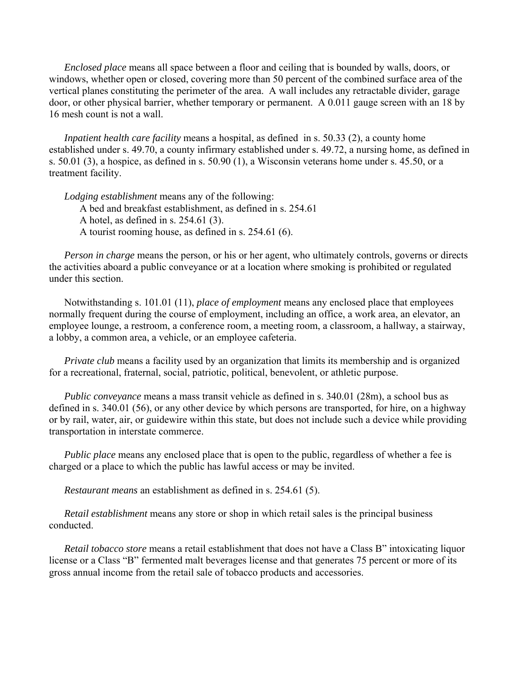*Enclosed place* means all space between a floor and ceiling that is bounded by walls, doors, or windows, whether open or closed, covering more than 50 percent of the combined surface area of the vertical planes constituting the perimeter of the area. A wall includes any retractable divider, garage door, or other physical barrier, whether temporary or permanent. A 0.011 gauge screen with an 18 by 16 mesh count is not a wall.

*Inpatient health care facility* means a hospital, as defined in s. 50.33 (2), a county home established under s. 49.70, a county infirmary established under s. 49.72, a nursing home, as defined in s. 50.01 (3), a hospice, as defined in s. 50.90 (1), a Wisconsin veterans home under s. 45.50, or a treatment facility.

*Lodging establishment* means any of the following: A bed and breakfast establishment, as defined in s. 254.61 A hotel, as defined in s. 254.61 (3). A tourist rooming house, as defined in s. 254.61 (6).

*Person in charge* means the person, or his or her agent, who ultimately controls, governs or directs the activities aboard a public conveyance or at a location where smoking is prohibited or regulated under this section.

 Notwithstanding s. 101.01 (11), *place of employment* means any enclosed place that employees normally frequent during the course of employment, including an office, a work area, an elevator, an employee lounge, a restroom, a conference room, a meeting room, a classroom, a hallway, a stairway, a lobby, a common area, a vehicle, or an employee cafeteria.

*Private club* means a facility used by an organization that limits its membership and is organized for a recreational, fraternal, social, patriotic, political, benevolent, or athletic purpose.

*Public conveyance* means a mass transit vehicle as defined in s. 340.01 (28m), a school bus as defined in s. 340.01 (56), or any other device by which persons are transported, for hire, on a highway or by rail, water, air, or guidewire within this state, but does not include such a device while providing transportation in interstate commerce.

*Public place* means any enclosed place that is open to the public, regardless of whether a fee is charged or a place to which the public has lawful access or may be invited.

*Restaurant means* an establishment as defined in s. 254.61 (5).

*Retail establishment* means any store or shop in which retail sales is the principal business conducted.

*Retail tobacco store* means a retail establishment that does not have a Class B" intoxicating liquor license or a Class "B" fermented malt beverages license and that generates 75 percent or more of its gross annual income from the retail sale of tobacco products and accessories.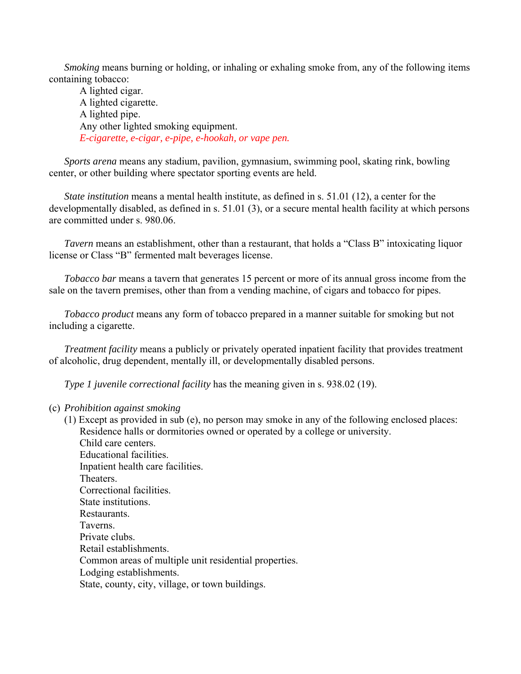*Smoking* means burning or holding, or inhaling or exhaling smoke from, any of the following items containing tobacco:

 A lighted cigar. A lighted cigarette. A lighted pipe. Any other lighted smoking equipment. *E-cigarette, e-cigar, e-pipe, e-hookah, or vape pen.* 

*Sports arena* means any stadium, pavilion, gymnasium, swimming pool, skating rink, bowling center, or other building where spectator sporting events are held.

*State institution* means a mental health institute, as defined in s. 51.01 (12), a center for the developmentally disabled, as defined in s. 51.01 (3), or a secure mental health facility at which persons are committed under s. 980.06.

*Tavern* means an establishment, other than a restaurant, that holds a "Class B" intoxicating liquor license or Class "B" fermented malt beverages license.

*Tobacco bar* means a tavern that generates 15 percent or more of its annual gross income from the sale on the tavern premises, other than from a vending machine, of cigars and tobacco for pipes.

*Tobacco product* means any form of tobacco prepared in a manner suitable for smoking but not including a cigarette.

*Treatment facility* means a publicly or privately operated inpatient facility that provides treatment of alcoholic, drug dependent, mentally ill, or developmentally disabled persons.

*Type 1 juvenile correctional facility* has the meaning given in s. 938.02 (19).

#### (c) *Prohibition against smoking*

 (1) Except as provided in sub (e), no person may smoke in any of the following enclosed places: Residence halls or dormitories owned or operated by a college or university. Child care centers. Educational facilities. Inpatient health care facilities. Theaters. Correctional facilities. State institutions. Restaurants. Taverns. Private clubs. Retail establishments. Common areas of multiple unit residential properties. Lodging establishments. State, county, city, village, or town buildings.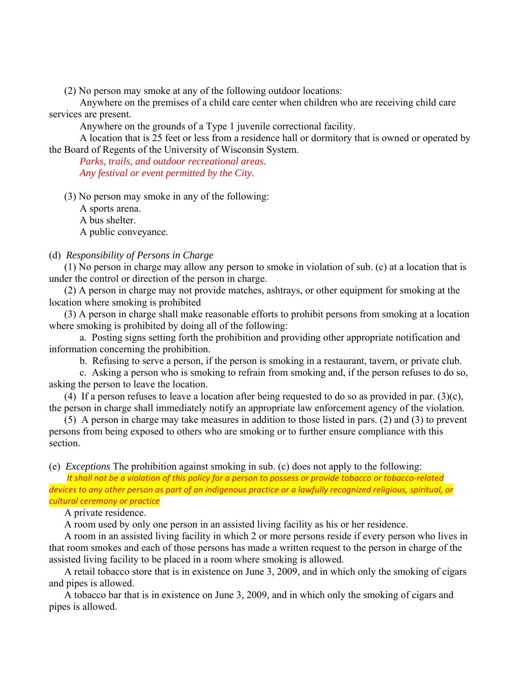(2) No person may smoke at any of the following outdoor locations:

 Anywhere on the premises of a child care center when children who are receiving child care services are present.

Anywhere on the grounds of a Type 1 juvenile correctional facility.

 A location that is 25 feet or less from a residence hall or dormitory that is owned or operated by the Board of Regents of the University of Wisconsin System.

 *Parks, trails, and outdoor recreational areas. Any festival or event permitted by the City.* 

(3) No person may smoke in any of the following:

 A sports arena. A bus shelter. A public conveyance.

### (d) *Responsibility of Persons in Charge*

 (1) No person in charge may allow any person to smoke in violation of sub. (c) at a location that is under the control or direction of the person in charge.

 (2) A person in charge may not provide matches, ashtrays, or other equipment for smoking at the location where smoking is prohibited

 (3) A person in charge shall make reasonable efforts to prohibit persons from smoking at a location where smoking is prohibited by doing all of the following:

 a. Posting signs setting forth the prohibition and providing other appropriate notification and information concerning the prohibition.

b. Refusing to serve a person, if the person is smoking in a restaurant, tavern, or private club.

 c. Asking a person who is smoking to refrain from smoking and, if the person refuses to do so, asking the person to leave the location.

(4) If a person refuses to leave a location after being requested to do so as provided in par.  $(3)(c)$ , the person in charge shall immediately notify an appropriate law enforcement agency of the violation.

 (5) A person in charge may take measures in addition to those listed in pars. (2) and (3) to prevent persons from being exposed to others who are smoking or to further ensure compliance with this section.

(e) *Exceptions* The prohibition against smoking in sub. (c) does not apply to the following:

 *It shall not be a violation of this policy for a person to possess or provide tobacco or tobacco‐related devices to any other person as part of an indigenous practice or a lawfully recognized religious, spiritual, or cultural ceremony or practice*

A private residence.

A room used by only one person in an assisted living facility as his or her residence.

 A room in an assisted living facility in which 2 or more persons reside if every person who lives in that room smokes and each of those persons has made a written request to the person in charge of the assisted living facility to be placed in a room where smoking is allowed.

 A retail tobacco store that is in existence on June 3, 2009, and in which only the smoking of cigars and pipes is allowed.

 A tobacco bar that is in existence on June 3, 2009, and in which only the smoking of cigars and pipes is allowed.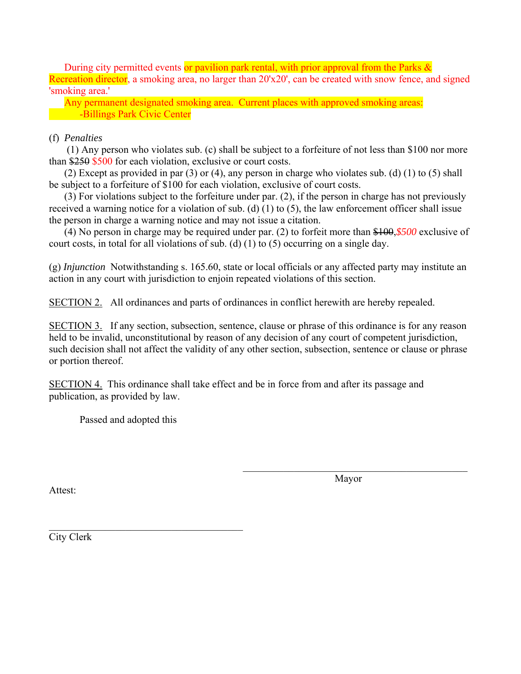During city permitted events or pavilion park rental, with prior approval from the Parks & Recreation director, a smoking area, no larger than 20'x20', can be created with snow fence, and signed 'smoking area.'

 Any permanent designated smoking area. Current places with approved smoking areas: -Billings Park Civic Center

## (f) *Penalties*

 (1) Any person who violates sub. (c) shall be subject to a forfeiture of not less than \$100 nor more than \$250 \$500 for each violation, exclusive or court costs.

 (2) Except as provided in par (3) or (4), any person in charge who violates sub. (d) (1) to (5) shall be subject to a forfeiture of \$100 for each violation, exclusive of court costs.

 (3) For violations subject to the forfeiture under par. (2), if the person in charge has not previously received a warning notice for a violation of sub. (d) (1) to (5), the law enforcement officer shall issue the person in charge a warning notice and may not issue a citation.

 (4) No person in charge may be required under par. (2) to forfeit more than \$100,*\$500* exclusive of court costs, in total for all violations of sub. (d) (1) to (5) occurring on a single day.

(g) *Injunction* Notwithstanding s. 165.60, state or local officials or any affected party may institute an action in any court with jurisdiction to enjoin repeated violations of this section.

SECTION 2. All ordinances and parts of ordinances in conflict herewith are hereby repealed.

SECTION 3. If any section, subsection, sentence, clause or phrase of this ordinance is for any reason held to be invalid, unconstitutional by reason of any decision of any court of competent jurisdiction, such decision shall not affect the validity of any other section, subsection, sentence or clause or phrase or portion thereof.

SECTION 4. This ordinance shall take effect and be in force from and after its passage and publication, as provided by law.

Passed and adopted this

Attest:

Mayor

City Clerk